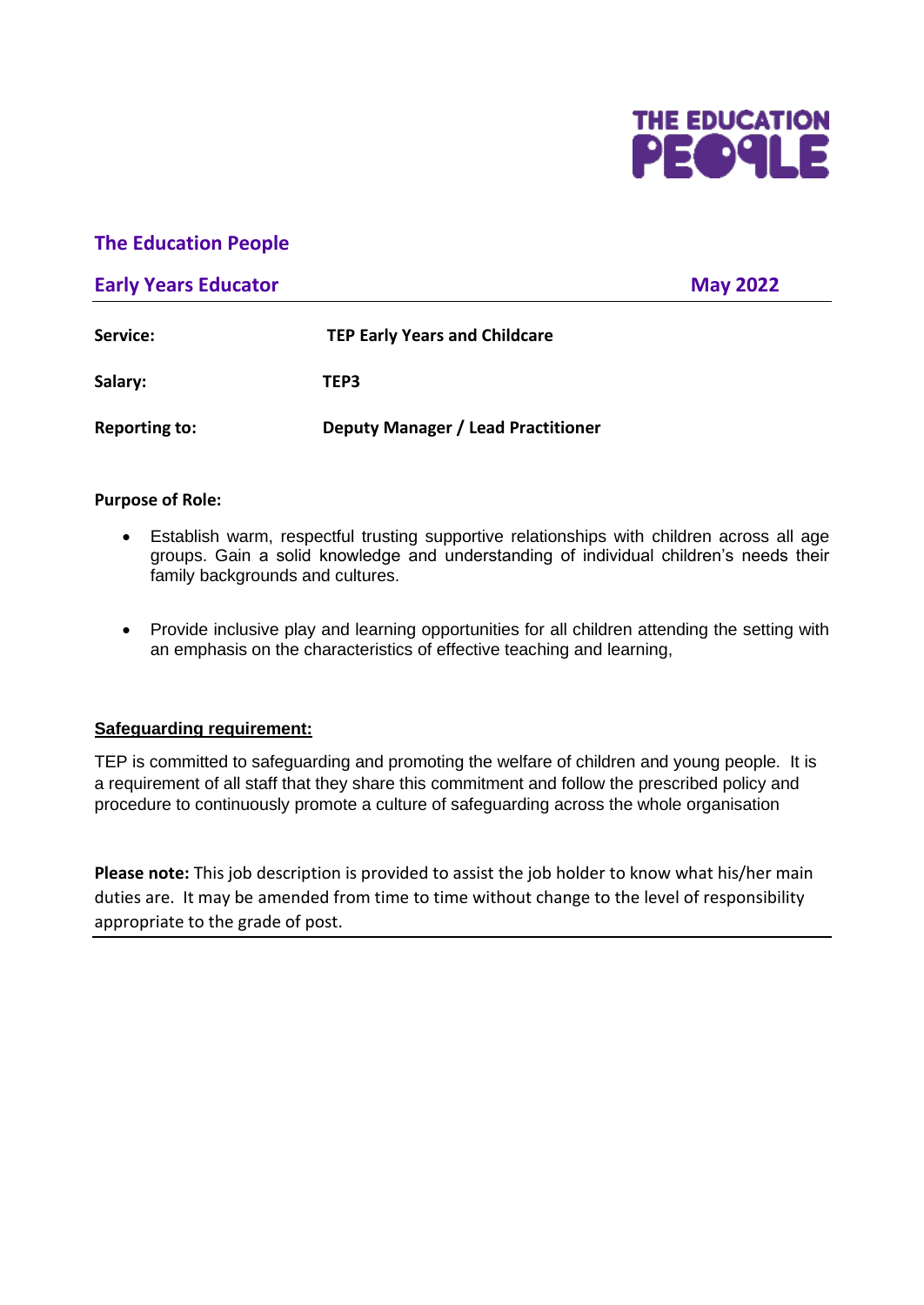

## **The Education People**

### **Early Years Educator May 2022**

| Service:             | <b>TEP Early Years and Childcare</b> |
|----------------------|--------------------------------------|
| Salary:              | TEP3                                 |
| <b>Reporting to:</b> | Deputy Manager / Lead Practitioner   |

#### **Purpose of Role:**

- Establish warm, respectful trusting supportive relationships with children across all age groups. Gain a solid knowledge and understanding of individual children's needs their family backgrounds and cultures.
- Provide inclusive play and learning opportunities for all children attending the setting with an emphasis on the characteristics of effective teaching and learning,

#### **Safeguarding requirement:**

TEP is committed to safeguarding and promoting the welfare of children and young people. It is a requirement of all staff that they share this commitment and follow the prescribed policy and procedure to continuously promote a culture of safeguarding across the whole organisation

**Please note:** This job description is provided to assist the job holder to know what his/her main duties are. It may be amended from time to time without change to the level of responsibility appropriate to the grade of post.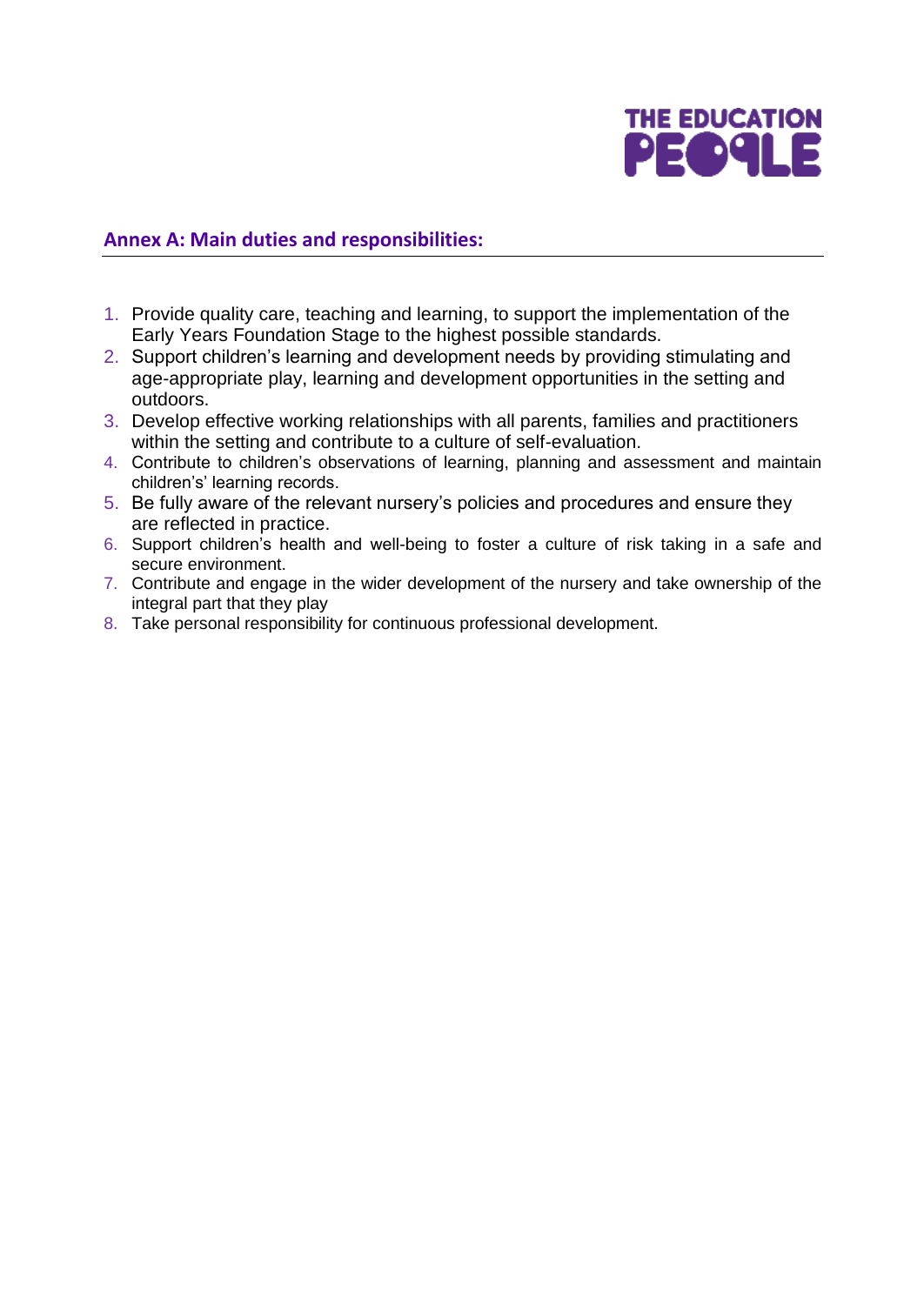

## **Annex A: Main duties and responsibilities:**

- 1. Provide quality care, teaching and learning, to support the implementation of the Early Years Foundation Stage to the highest possible standards.
- 2. Support children's learning and development needs by providing stimulating and age-appropriate play, learning and development opportunities in the setting and outdoors.
- 3. Develop effective working relationships with all parents, families and practitioners within the setting and contribute to a culture of self-evaluation.
- 4. Contribute to children's observations of learning, planning and assessment and maintain children's' learning records.
- 5. Be fully aware of the relevant nursery's policies and procedures and ensure they are reflected in practice.
- 6. Support children's health and well-being to foster a culture of risk taking in a safe and secure environment.
- 7. Contribute and engage in the wider development of the nursery and take ownership of the integral part that they play
- 8. Take personal responsibility for continuous professional development.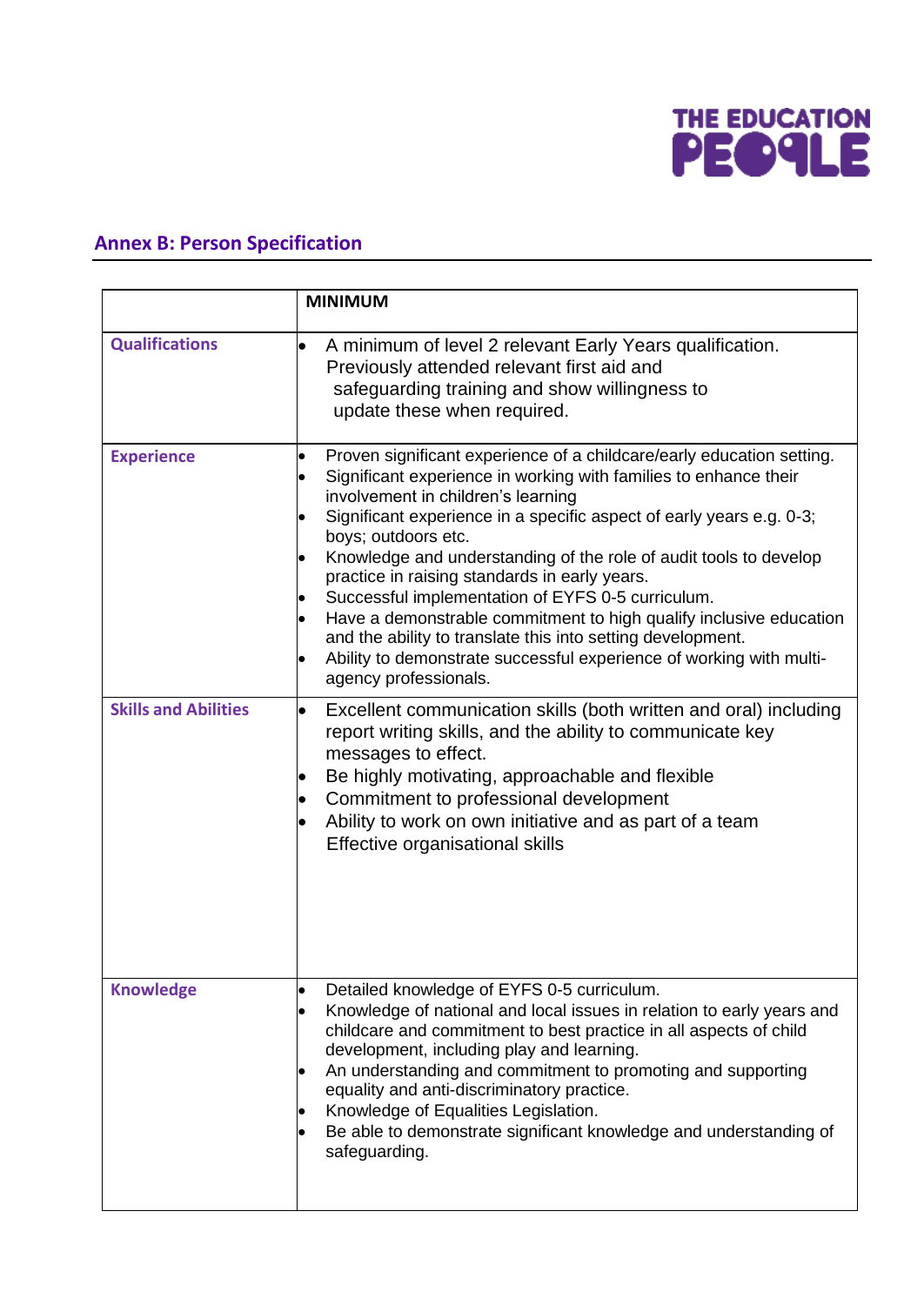

# **Annex B: Person Specification**

|                             | <b>MINIMUM</b>                                                                                                                                                                                                                                                                                                                                                                                                                                                                                                                                                                                                                                                                                 |
|-----------------------------|------------------------------------------------------------------------------------------------------------------------------------------------------------------------------------------------------------------------------------------------------------------------------------------------------------------------------------------------------------------------------------------------------------------------------------------------------------------------------------------------------------------------------------------------------------------------------------------------------------------------------------------------------------------------------------------------|
| <b>Qualifications</b>       | A minimum of level 2 relevant Early Years qualification.<br>$\bullet$<br>Previously attended relevant first aid and<br>safeguarding training and show willingness to<br>update these when required.                                                                                                                                                                                                                                                                                                                                                                                                                                                                                            |
| <b>Experience</b>           | Proven significant experience of a childcare/early education setting.<br>Significant experience in working with families to enhance their<br>involvement in children's learning<br>Significant experience in a specific aspect of early years e.g. 0-3;<br>boys; outdoors etc.<br>Knowledge and understanding of the role of audit tools to develop<br>practice in raising standards in early years.<br>Successful implementation of EYFS 0-5 curriculum.<br>Have a demonstrable commitment to high qualify inclusive education<br>and the ability to translate this into setting development.<br>Ability to demonstrate successful experience of working with multi-<br>agency professionals. |
| <b>Skills and Abilities</b> | Excellent communication skills (both written and oral) including<br>report writing skills, and the ability to communicate key<br>messages to effect.<br>Be highly motivating, approachable and flexible<br>Commitment to professional development<br>Ability to work on own initiative and as part of a team<br>Effective organisational skills                                                                                                                                                                                                                                                                                                                                                |
| <b>Knowledge</b>            | Detailed knowledge of EYFS 0-5 curriculum.<br>Knowledge of national and local issues in relation to early years and<br>childcare and commitment to best practice in all aspects of child<br>development, including play and learning.<br>An understanding and commitment to promoting and supporting<br>equality and anti-discriminatory practice.<br>Knowledge of Equalities Legislation.<br>Be able to demonstrate significant knowledge and understanding of<br>safeguarding.                                                                                                                                                                                                               |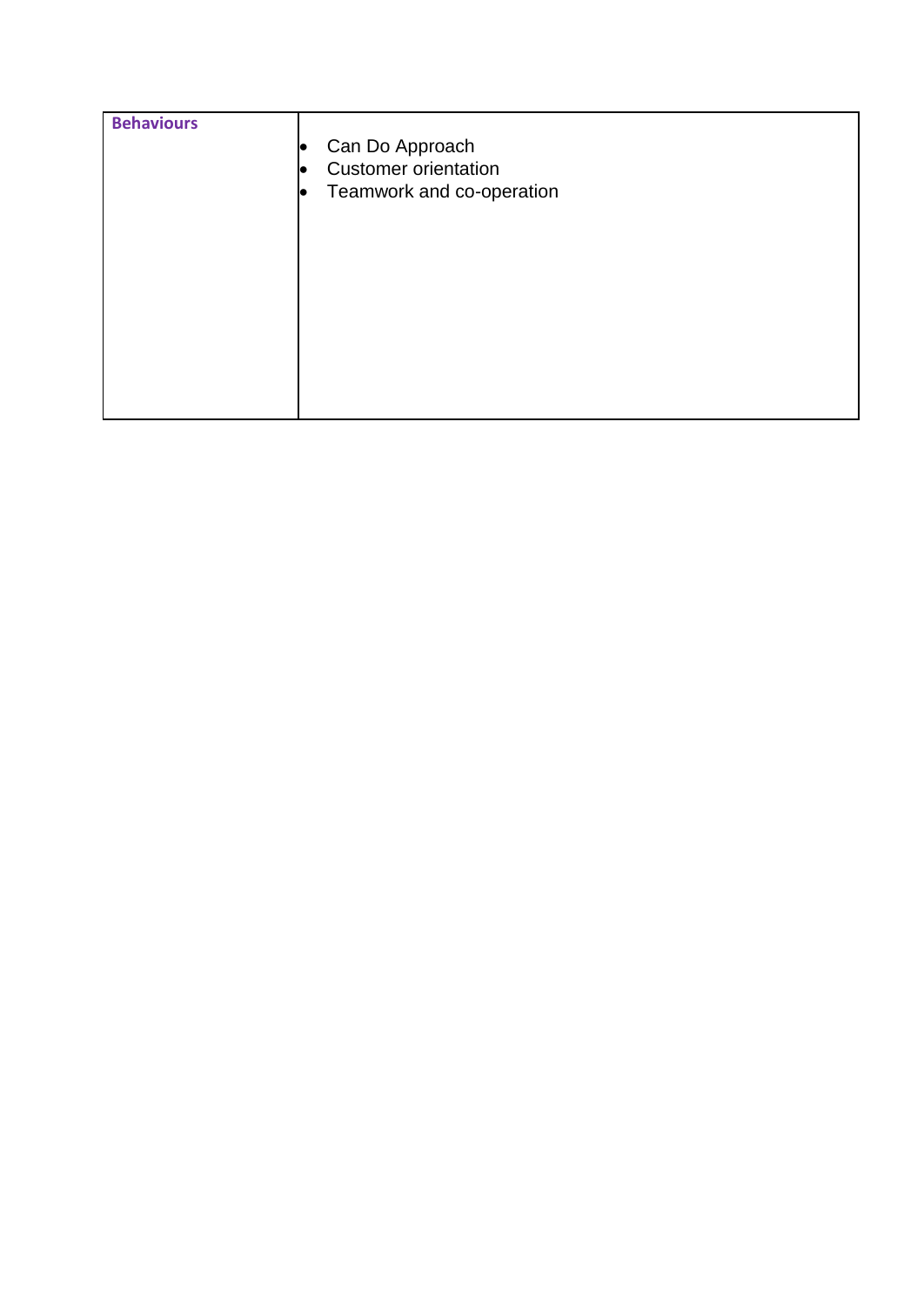| <b>Behaviours</b> | Can Do Approach<br>lo<br><b>Customer orientation</b><br>lC<br>Teamwork and co-operation<br>lo |
|-------------------|-----------------------------------------------------------------------------------------------|
|                   |                                                                                               |
|                   |                                                                                               |